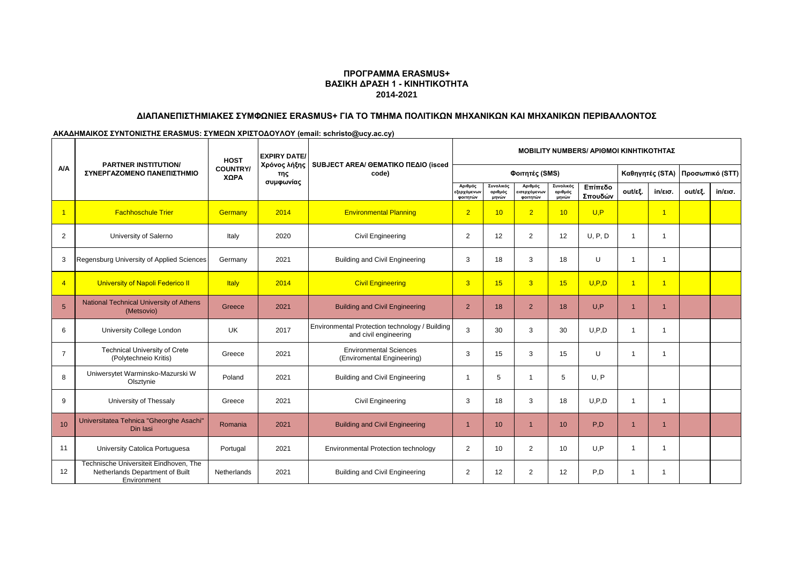## **ΠΡΟΓΡΑΜΜΑ ERASMUS+ ΒΑΣΙΚΗ ΔΡΑΣΗ 1 - ΚΙΝΗΤΙΚΟΤΗΤΑ 2014-2021**

#### **ΔΙΑΠΑΝΕΠΙΣΤΗΜΙΑΚΕΣ ΣΥΜΦΩΝΙΕΣ ERASMUS+ ΓΙΑ ΤΟ ΤΜΗΜΑ ΠΟΛΙΤΙΚΩΝ ΜΗΧΑΝΙΚΩΝ ΚΑΙ ΜΗΧΑΝΙΚΩΝ ΠΕΡΙΒΑΛΛΟΝΤΟΣ**

**ΑΚΑΔΗΜΑΙΚΟΣ ΣΥΝΤΟΝΙΣΤΗΣ ERASMUS: ΣΥΜΕΩΝ ΧΡΙΣΤΟΔΟΥΛΟΥ (email: schristo@ucy.ac.cy)**

|                 | <b>PARTNER INSTITUTION/</b>                                                              | <b>HOST</b><br><b>COUNTRY/</b><br>ΧΩΡΑ | <b>EXPIRY DATE/</b> | SUBJECT AREA/ GEMATIKO ΠΕΔΙΟ (isced                                     | <b>MOBILITY NUMBERS/ APIOMOI KINHTIKOTHTAZ</b> |                               |                                                 |                               |                    |                |                          |         |                   |
|-----------------|------------------------------------------------------------------------------------------|----------------------------------------|---------------------|-------------------------------------------------------------------------|------------------------------------------------|-------------------------------|-------------------------------------------------|-------------------------------|--------------------|----------------|--------------------------|---------|-------------------|
| <b>A/A</b>      | ΣΥΝΕΡΓΑΖΟΜΕΝΟ ΠΑΝΕΠΙΣΤΗΜΙΟ                                                               |                                        | Χρόνος λήξης<br>της | code)                                                                   |                                                |                               | Φοιτητές (SMS)                                  |                               | Καθηγητές (STA)    |                | Προσωπικό (STT)          |         |                   |
|                 |                                                                                          |                                        | συμφωνίας           |                                                                         | Αριθμός<br>εξερχόμενων<br>φοιτητών             | Συνολικός<br>αριθμός<br>μηνών | Αριθμός<br><mark>ισερχόμενων</mark><br>φοιτητών | Συνολικός<br>αριθμός<br>μηνών | Επίπεδο<br>Σπουδών | out/εξ.        | $in/\epsilon$ ισ.        | out/εξ. | $in/\epsilon$ ισ. |
| $\overline{1}$  | <b>Fachhoschule Trier</b>                                                                | Germany                                | 2014                | <b>Environmental Planning</b>                                           | $\overline{2}$                                 | 10                            | $\overline{2}$                                  | 10                            | U.P                |                | $\overline{1}$           |         |                   |
| 2               | University of Salerno                                                                    | Italy                                  | 2020                | <b>Civil Engineering</b>                                                | 2                                              | 12                            | $\overline{2}$                                  | 12                            | U, P, D            | 1              | $\overline{\phantom{a}}$ |         |                   |
| 3               | Regensburg University of Applied Sciences                                                | Germany                                | 2021                | <b>Building and Civil Engineering</b>                                   | 3                                              | 18                            | 3                                               | 18                            | U                  | 1              | 1                        |         |                   |
| $\overline{4}$  | University of Napoli Federico II                                                         | Italy                                  | 2014                | <b>Civil Engineering</b>                                                | 3                                              | 15                            | 3 <sup>1</sup>                                  | 15                            | U, P, D            | $\overline{1}$ | $\overline{1}$           |         |                   |
| $5\overline{5}$ | National Technical University of Athens<br>(Metsovio)                                    | Greece                                 | 2021                | <b>Building and Civil Engineering</b>                                   | $\overline{2}$                                 | 18                            | $\overline{2}$                                  | 18                            | U, P               |                |                          |         |                   |
| 6               | University College London                                                                | UK                                     | 2017                | Environmental Protection technology / Building<br>and civil engineering | 3                                              | 30                            | 3                                               | 30                            | U.P.D              | 1              | $\overline{\phantom{a}}$ |         |                   |
| $\overline{7}$  | <b>Technical University of Crete</b><br>(Polytechneio Kritis)                            | Greece                                 | 2021                | <b>Environmental Sciences</b><br>(Enviromental Engineering)             | 3                                              | 15                            | 3                                               | 15                            | U                  | 1              | -1                       |         |                   |
| 8               | Uniwersytet Warminsko-Mazurski W<br>Olsztynie                                            | Poland                                 | 2021                | <b>Building and Civil Engineering</b>                                   | 1                                              | 5                             | -1                                              | 5                             | U, P               |                |                          |         |                   |
| 9               | University of Thessaly                                                                   | Greece                                 | 2021                | <b>Civil Engineering</b>                                                | 3                                              | 18                            | 3                                               | 18                            | U.P.D              | 1              | $\overline{\phantom{a}}$ |         |                   |
| 10              | Universitatea Tehnica "Gheorghe Asachi"<br>Din lasi                                      | Romania                                | 2021                | <b>Building and Civil Engineering</b>                                   | 1                                              | 10                            | $\mathbf{1}$                                    | 10                            | P.D                | $\mathbf{1}$   |                          |         |                   |
| 11              | University Catolica Portuguesa                                                           | Portugal                               | 2021                | Environmental Protection technology                                     | 2                                              | 10                            | 2                                               | 10                            | U, P               | 1              | $\overline{\phantom{a}}$ |         |                   |
| 12              | Technische Universiteit Eindhoven, The<br>Netherlands Department of Built<br>Environment | Netherlands                            | 2021                | <b>Building and Civil Engineering</b>                                   | 2                                              | $12 \overline{ }$             | 2                                               | 12                            | P,D                |                | $\mathbf{1}$             |         |                   |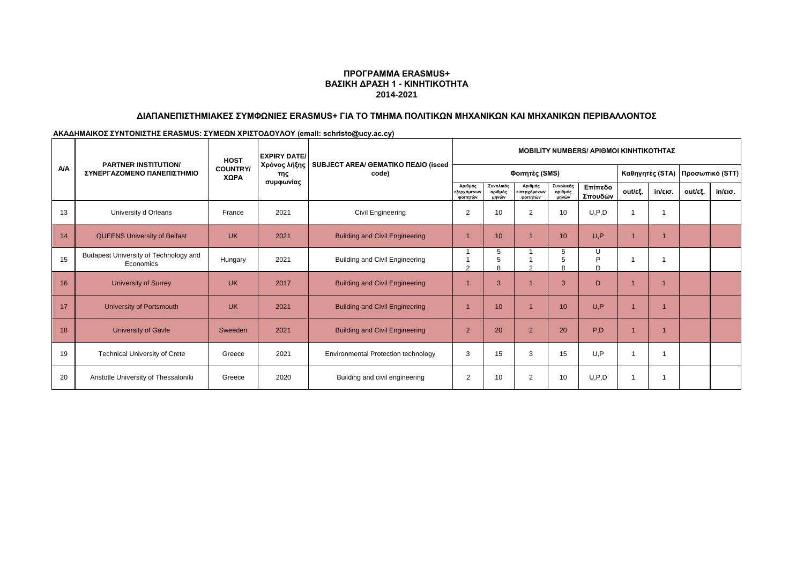## **ΠΡΟΓΡΑΜΜΑ ERASMUS+ ΒΑΣΙΚΗ ΔΡΑΣΗ 1 - ΚΙΝΗΤΙΚΟΤΗΤΑ 2014-2021**

# **ΔΙΑΠΑΝΕΠΙΣΤΗΜΙΑΚΕΣ ΣΥΜΦΩΝΙΕΣ ERASMUS+ ΓΙΑ ΤΟ ΤΜΗΜΑ ΠΟΛΙΤΙΚΩΝ ΜΗΧΑΝΙΚΩΝ ΚΑΙ ΜΗΧΑΝΙΚΩΝ ΠΕΡΙΒΑΛΛΟΝΤΟΣ**

**ΑΚΑΔΗΜΑΙΚΟΣ ΣΥΝΤΟΝΙΣΤΗΣ ERASMUS: ΣΥΜΕΩΝ ΧΡΙΣΤΟΔΟΥΛΟΥ (email: schristo@ucy.ac.cy)**

|            | <b>PARTNER INSTITUTION/</b>                        | <b>HOST</b><br><b>COUNTRY/</b><br>ΧΩΡΑ | <b>EXPIRY DATE/</b><br>Χρόνος λήξης<br>της<br>συμφωνίας |                                              | <b>MOBILITY NUMBERS/ APIOMOI KINHTIKOTHTAZ</b> |                               |                                     |                               |                    |                                 |                   |         |                   |
|------------|----------------------------------------------------|----------------------------------------|---------------------------------------------------------|----------------------------------------------|------------------------------------------------|-------------------------------|-------------------------------------|-------------------------------|--------------------|---------------------------------|-------------------|---------|-------------------|
| <b>A/A</b> | ΣΥΝΕΡΓΑΖΟΜΕΝΟ ΠΑΝΕΠΙΣΤΗΜΙΟ                         |                                        |                                                         | SUBJECT AREA/ OEMATIKO ΠΕΔΙΟ (isced<br>code) |                                                |                               | Φοιτητές (SMS)                      |                               |                    | Καθηγητές (STA) Προσωπικό (STT) |                   |         |                   |
|            |                                                    |                                        |                                                         |                                              | Αριθμός<br>εξερχόμενων<br>φοιτητών             | Συνολικός<br>αριθμός<br>μηνών | Αριθμός<br>εισερχόμενων<br>φοιτητών | Συνολικός<br>αριθμός<br>μηνών | Επίπεδο<br>Σπουδών | out/εξ.                         | $in/\epsilon$ ισ. | out/εξ. | $in/\epsilon$ ισ. |
| 13         | University d Orleans                               | France                                 | 2021                                                    | Civil Engineering                            | 2                                              | 10                            | $\overline{2}$                      | 10                            | U, P, D            |                                 | 1                 |         |                   |
| 14         | <b>QUEENS University of Belfast</b>                | <b>UK</b>                              | 2021                                                    | <b>Building and Civil Engineering</b>        |                                                | 10                            |                                     | 10                            | U.P                |                                 |                   |         |                   |
| 15         | Budapest University of Technology and<br>Economics | Hungary                                | 2021                                                    | <b>Building and Civil Engineering</b>        | $\sim$                                         | 5                             |                                     | 5                             | U<br>Þ<br>D        |                                 | ٠                 |         |                   |
| 16         | <b>University of Surrey</b>                        | <b>UK</b>                              | 2017                                                    | <b>Building and Civil Engineering</b>        |                                                | 3                             |                                     | 3                             | D                  |                                 |                   |         |                   |
| 17         | University of Portsmouth                           | <b>UK</b>                              | 2021                                                    | <b>Building and Civil Engineering</b>        |                                                | 10                            |                                     | 10                            | U.P                |                                 |                   |         |                   |
| 18         | <b>University of Gavle</b>                         | Sweeden                                | 2021                                                    | <b>Building and Civil Engineering</b>        | $\overline{2}$                                 | 20                            | $2^{\circ}$                         | 20                            | P.D                |                                 |                   |         |                   |
| 19         | <b>Technical University of Crete</b>               | Greece                                 | 2021                                                    | Environmental Protection technology          | 3                                              | 15                            | 3                                   | 15                            | U.P                |                                 |                   |         |                   |
| 20         | Aristotle University of Thessaloniki               | Greece                                 | 2020                                                    | Building and civil engineering               | 2                                              | 10                            | 2                                   | 10                            | U, P, D            |                                 |                   |         |                   |